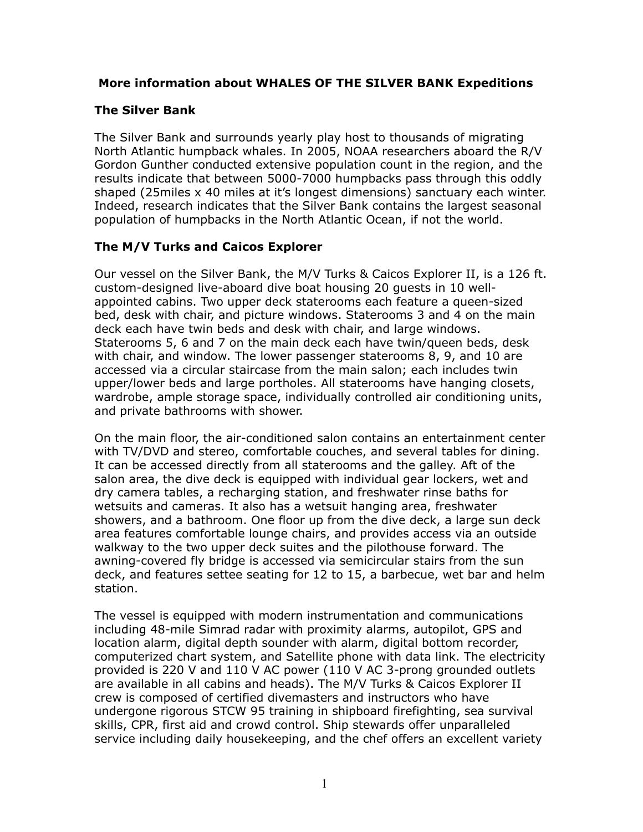#### **More information about WHALES OF THE SILVER BANK Expeditions**

#### **The Silver Bank**

The Silver Bank and surrounds yearly play host to thousands of migrating North Atlantic humpback whales. In 2005, NOAA researchers aboard the R/V Gordon Gunther conducted extensive population count in the region, and the results indicate that between 5000-7000 humpbacks pass through this oddly shaped (25miles x 40 miles at it's longest dimensions) sanctuary each winter. Indeed, research indicates that the Silver Bank contains the largest seasonal population of humpbacks in the North Atlantic Ocean, if not the world.

## **The M/V Turks and Caicos Explorer**

Our vessel on the Silver Bank, the M/V Turks & Caicos Explorer II, is a 126 ft. custom-designed live-aboard dive boat housing 20 guests in 10 wellappointed cabins. Two upper deck staterooms each feature a queen-sized bed, desk with chair, and picture windows. Staterooms 3 and 4 on the main deck each have twin beds and desk with chair, and large windows. Staterooms 5, 6 and 7 on the main deck each have twin/queen beds, desk with chair, and window. The lower passenger staterooms 8, 9, and 10 are accessed via a circular staircase from the main salon; each includes twin upper/lower beds and large portholes. All staterooms have hanging closets, wardrobe, ample storage space, individually controlled air conditioning units, and private bathrooms with shower.

On the main floor, the air-conditioned salon contains an entertainment center with TV/DVD and stereo, comfortable couches, and several tables for dining. It can be accessed directly from all staterooms and the galley. Aft of the salon area, the dive deck is equipped with individual gear lockers, wet and dry camera tables, a recharging station, and freshwater rinse baths for wetsuits and cameras. It also has a wetsuit hanging area, freshwater showers, and a bathroom. One floor up from the dive deck, a large sun deck area features comfortable lounge chairs, and provides access via an outside walkway to the two upper deck suites and the pilothouse forward. The awning-covered fly bridge is accessed via semicircular stairs from the sun deck, and features settee seating for 12 to 15, a barbecue, wet bar and helm station.

The vessel is equipped with modern instrumentation and communications including 48-mile Simrad radar with proximity alarms, autopilot, GPS and location alarm, digital depth sounder with alarm, digital bottom recorder, computerized chart system, and Satellite phone with data link. The electricity provided is 220 V and 110 V AC power (110 V AC 3-prong grounded outlets are available in all cabins and heads). The M/V Turks & Caicos Explorer II crew is composed of certified divemasters and instructors who have undergone rigorous STCW 95 training in shipboard firefighting, sea survival skills, CPR, first aid and crowd control. Ship stewards offer unparalleled service including daily housekeeping, and the chef offers an excellent variety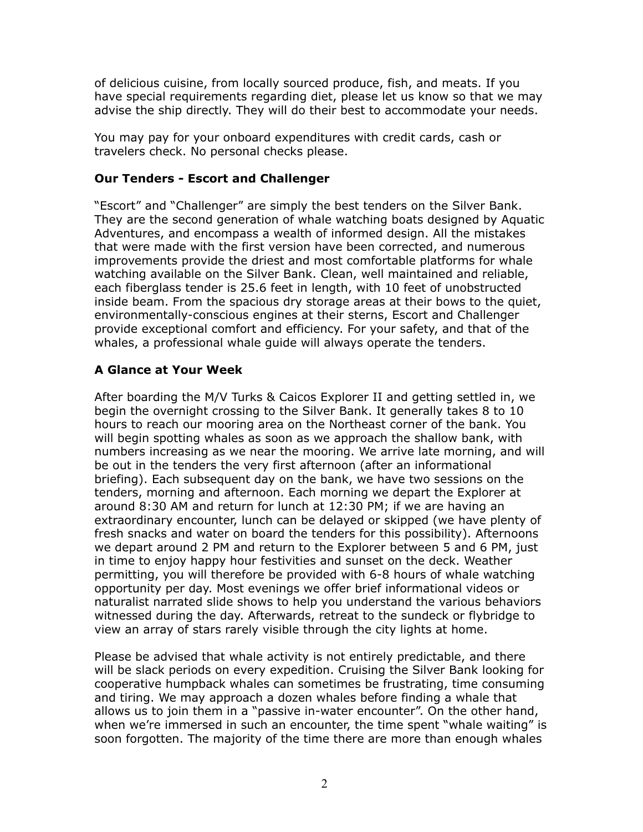of delicious cuisine, from locally sourced produce, fish, and meats. If you have special requirements regarding diet, please let us know so that we may advise the ship directly. They will do their best to accommodate your needs.

You may pay for your onboard expenditures with credit cards, cash or travelers check. No personal checks please.

#### **Our Tenders - Escort and Challenger**

"Escort" and "Challenger" are simply the best tenders on the Silver Bank. They are the second generation of whale watching boats designed by Aquatic Adventures, and encompass a wealth of informed design. All the mistakes that were made with the first version have been corrected, and numerous improvements provide the driest and most comfortable platforms for whale watching available on the Silver Bank. Clean, well maintained and reliable, each fiberglass tender is 25.6 feet in length, with 10 feet of unobstructed inside beam. From the spacious dry storage areas at their bows to the quiet, environmentally-conscious engines at their sterns, Escort and Challenger provide exceptional comfort and efficiency. For your safety, and that of the whales, a professional whale guide will always operate the tenders.

## **A Glance at Your Week**

After boarding the M/V Turks & Caicos Explorer II and getting settled in, we begin the overnight crossing to the Silver Bank. It generally takes 8 to 10 hours to reach our mooring area on the Northeast corner of the bank. You will begin spotting whales as soon as we approach the shallow bank, with numbers increasing as we near the mooring. We arrive late morning, and will be out in the tenders the very first afternoon (after an informational briefing). Each subsequent day on the bank, we have two sessions on the tenders, morning and afternoon. Each morning we depart the Explorer at around 8:30 AM and return for lunch at 12:30 PM; if we are having an extraordinary encounter, lunch can be delayed or skipped (we have plenty of fresh snacks and water on board the tenders for this possibility). Afternoons we depart around 2 PM and return to the Explorer between 5 and 6 PM, just in time to enjoy happy hour festivities and sunset on the deck. Weather permitting, you will therefore be provided with 6-8 hours of whale watching opportunity per day. Most evenings we offer brief informational videos or naturalist narrated slide shows to help you understand the various behaviors witnessed during the day. Afterwards, retreat to the sundeck or flybridge to view an array of stars rarely visible through the city lights at home.

Please be advised that whale activity is not entirely predictable, and there will be slack periods on every expedition. Cruising the Silver Bank looking for cooperative humpback whales can sometimes be frustrating, time consuming and tiring. We may approach a dozen whales before finding a whale that allows us to join them in a "passive in-water encounter". On the other hand, when we're immersed in such an encounter, the time spent "whale waiting" is soon forgotten. The majority of the time there are more than enough whales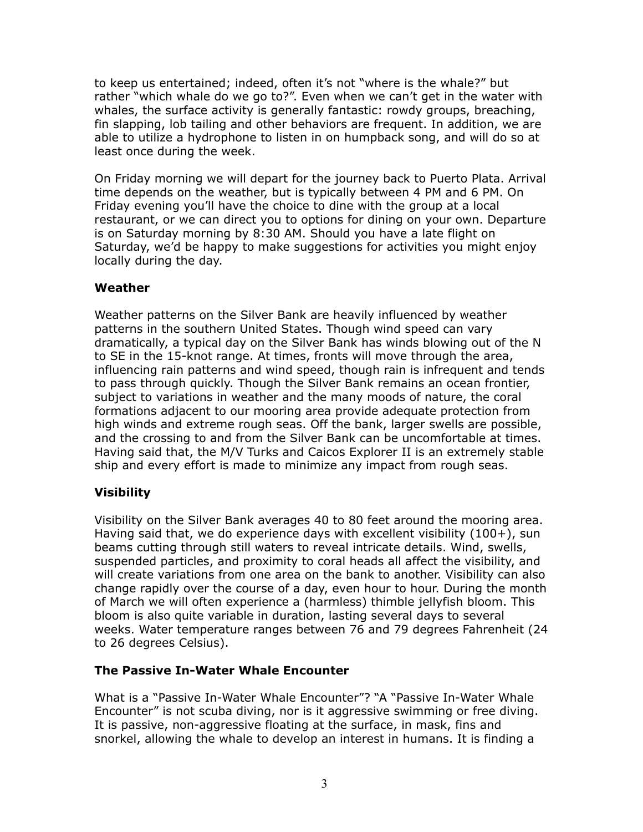to keep us entertained; indeed, often it's not "where is the whale?" but rather "which whale do we go to?". Even when we can't get in the water with whales, the surface activity is generally fantastic: rowdy groups, breaching, fin slapping, lob tailing and other behaviors are frequent. In addition, we are able to utilize a hydrophone to listen in on humpback song, and will do so at least once during the week.

On Friday morning we will depart for the journey back to Puerto Plata. Arrival time depends on the weather, but is typically between 4 PM and 6 PM. On Friday evening you'll have the choice to dine with the group at a local restaurant, or we can direct you to options for dining on your own. Departure is on Saturday morning by 8:30 AM. Should you have a late flight on Saturday, we'd be happy to make suggestions for activities you might enjoy locally during the day.

## **Weather**

Weather patterns on the Silver Bank are heavily influenced by weather patterns in the southern United States. Though wind speed can vary dramatically, a typical day on the Silver Bank has winds blowing out of the N to SE in the 15-knot range. At times, fronts will move through the area, influencing rain patterns and wind speed, though rain is infrequent and tends to pass through quickly. Though the Silver Bank remains an ocean frontier, subject to variations in weather and the many moods of nature, the coral formations adjacent to our mooring area provide adequate protection from high winds and extreme rough seas. Off the bank, larger swells are possible, and the crossing to and from the Silver Bank can be uncomfortable at times. Having said that, the M/V Turks and Caicos Explorer II is an extremely stable ship and every effort is made to minimize any impact from rough seas.

## **Visibility**

Visibility on the Silver Bank averages 40 to 80 feet around the mooring area. Having said that, we do experience days with excellent visibility (100+), sun beams cutting through still waters to reveal intricate details. Wind, swells, suspended particles, and proximity to coral heads all affect the visibility, and will create variations from one area on the bank to another. Visibility can also change rapidly over the course of a day, even hour to hour. During the month of March we will often experience a (harmless) thimble jellyfish bloom. This bloom is also quite variable in duration, lasting several days to several weeks. Water temperature ranges between 76 and 79 degrees Fahrenheit (24 to 26 degrees Celsius).

## **The Passive In-Water Whale Encounter**

What is a "Passive In-Water Whale Encounter"? "A "Passive In-Water Whale Encounter" is not scuba diving, nor is it aggressive swimming or free diving. It is passive, non-aggressive floating at the surface, in mask, fins and snorkel, allowing the whale to develop an interest in humans. It is finding a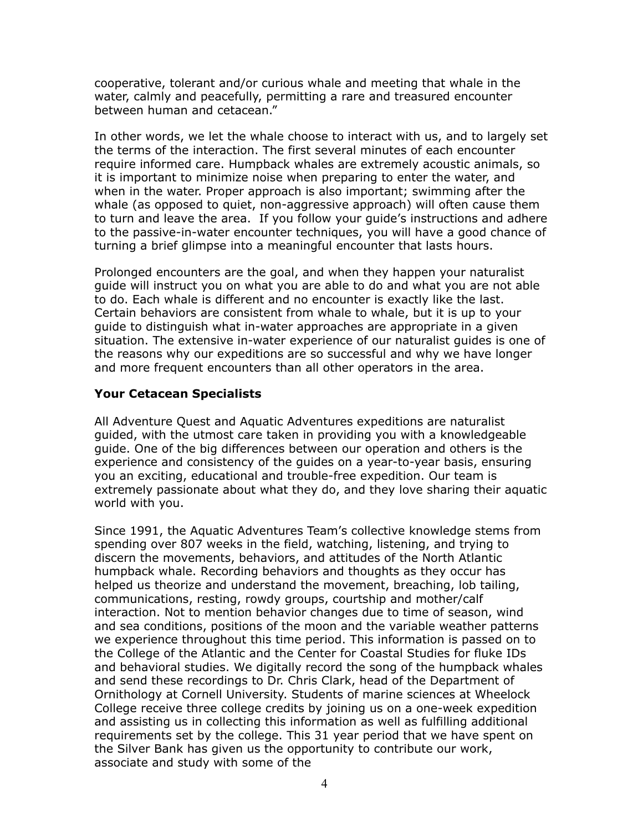cooperative, tolerant and/or curious whale and meeting that whale in the water, calmly and peacefully, permitting a rare and treasured encounter between human and cetacean."

In other words, we let the whale choose to interact with us, and to largely set the terms of the interaction. The first several minutes of each encounter require informed care. Humpback whales are extremely acoustic animals, so it is important to minimize noise when preparing to enter the water, and when in the water. Proper approach is also important; swimming after the whale (as opposed to quiet, non-aggressive approach) will often cause them to turn and leave the area. If you follow your guide's instructions and adhere to the passive-in-water encounter techniques, you will have a good chance of turning a brief glimpse into a meaningful encounter that lasts hours.

Prolonged encounters are the goal, and when they happen your naturalist guide will instruct you on what you are able to do and what you are not able to do. Each whale is different and no encounter is exactly like the last. Certain behaviors are consistent from whale to whale, but it is up to your guide to distinguish what in-water approaches are appropriate in a given situation. The extensive in-water experience of our naturalist guides is one of the reasons why our expeditions are so successful and why we have longer and more frequent encounters than all other operators in the area.

## **Your Cetacean Specialists**

All Adventure Quest and Aquatic Adventures expeditions are naturalist guided, with the utmost care taken in providing you with a knowledgeable guide. One of the big differences between our operation and others is the experience and consistency of the guides on a year-to-year basis, ensuring you an exciting, educational and trouble-free expedition. Our team is extremely passionate about what they do, and they love sharing their aquatic world with you.

Since 1991, the Aquatic Adventures Team's collective knowledge stems from spending over 807 weeks in the field, watching, listening, and trying to discern the movements, behaviors, and attitudes of the North Atlantic humpback whale. Recording behaviors and thoughts as they occur has helped us theorize and understand the movement, breaching, lob tailing, communications, resting, rowdy groups, courtship and mother/calf interaction. Not to mention behavior changes due to time of season, wind and sea conditions, positions of the moon and the variable weather patterns we experience throughout this time period. This information is passed on to the College of the Atlantic and the Center for Coastal Studies for fluke IDs and behavioral studies. We digitally record the song of the humpback whales and send these recordings to Dr. Chris Clark, head of the Department of Ornithology at Cornell University. Students of marine sciences at Wheelock College receive three college credits by joining us on a one-week expedition and assisting us in collecting this information as well as fulfilling additional requirements set by the college. This 31 year period that we have spent on the Silver Bank has given us the opportunity to contribute our work, associate and study with some of the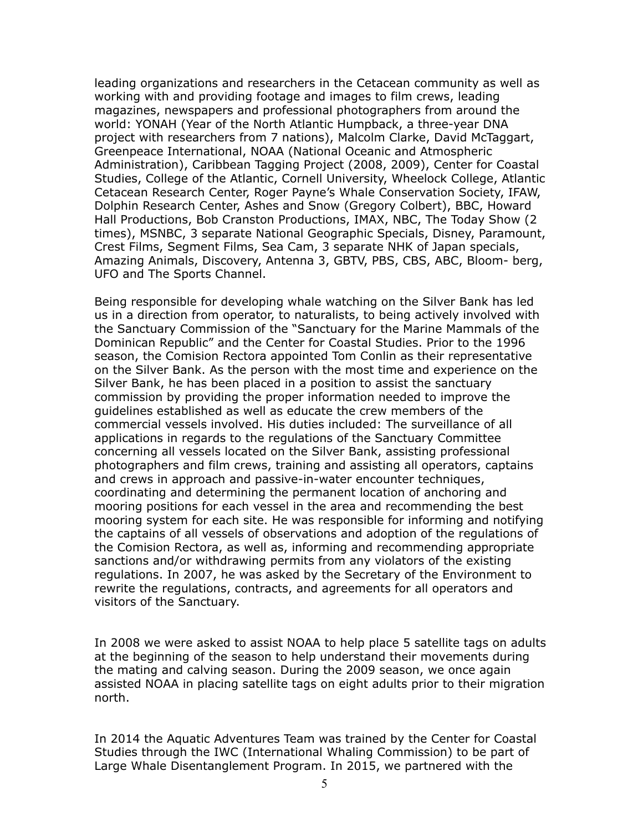leading organizations and researchers in the Cetacean community as well as working with and providing footage and images to film crews, leading magazines, newspapers and professional photographers from around the world: YONAH (Year of the North Atlantic Humpback, a three-year DNA project with researchers from 7 nations), Malcolm Clarke, David McTaggart, Greenpeace International, NOAA (National Oceanic and Atmospheric Administration), Caribbean Tagging Project (2008, 2009), Center for Coastal Studies, College of the Atlantic, Cornell University, Wheelock College, Atlantic Cetacean Research Center, Roger Payne's Whale Conservation Society, IFAW, Dolphin Research Center, Ashes and Snow (Gregory Colbert), BBC, Howard Hall Productions, Bob Cranston Productions, IMAX, NBC, The Today Show (2 times), MSNBC, 3 separate National Geographic Specials, Disney, Paramount, Crest Films, Segment Films, Sea Cam, 3 separate NHK of Japan specials, Amazing Animals, Discovery, Antenna 3, GBTV, PBS, CBS, ABC, Bloom- berg, UFO and The Sports Channel.

Being responsible for developing whale watching on the Silver Bank has led us in a direction from operator, to naturalists, to being actively involved with the Sanctuary Commission of the "Sanctuary for the Marine Mammals of the Dominican Republic" and the Center for Coastal Studies. Prior to the 1996 season, the Comision Rectora appointed Tom Conlin as their representative on the Silver Bank. As the person with the most time and experience on the Silver Bank, he has been placed in a position to assist the sanctuary commission by providing the proper information needed to improve the guidelines established as well as educate the crew members of the commercial vessels involved. His duties included: The surveillance of all applications in regards to the regulations of the Sanctuary Committee concerning all vessels located on the Silver Bank, assisting professional photographers and film crews, training and assisting all operators, captains and crews in approach and passive-in-water encounter techniques, coordinating and determining the permanent location of anchoring and mooring positions for each vessel in the area and recommending the best mooring system for each site. He was responsible for informing and notifying the captains of all vessels of observations and adoption of the regulations of the Comision Rectora, as well as, informing and recommending appropriate sanctions and/or withdrawing permits from any violators of the existing regulations. In 2007, he was asked by the Secretary of the Environment to rewrite the regulations, contracts, and agreements for all operators and visitors of the Sanctuary.

In 2008 we were asked to assist NOAA to help place 5 satellite tags on adults at the beginning of the season to help understand their movements during the mating and calving season. During the 2009 season, we once again assisted NOAA in placing satellite tags on eight adults prior to their migration north.

In 2014 the Aquatic Adventures Team was trained by the Center for Coastal Studies through the IWC (International Whaling Commission) to be part of Large Whale Disentanglement Program. In 2015, we partnered with the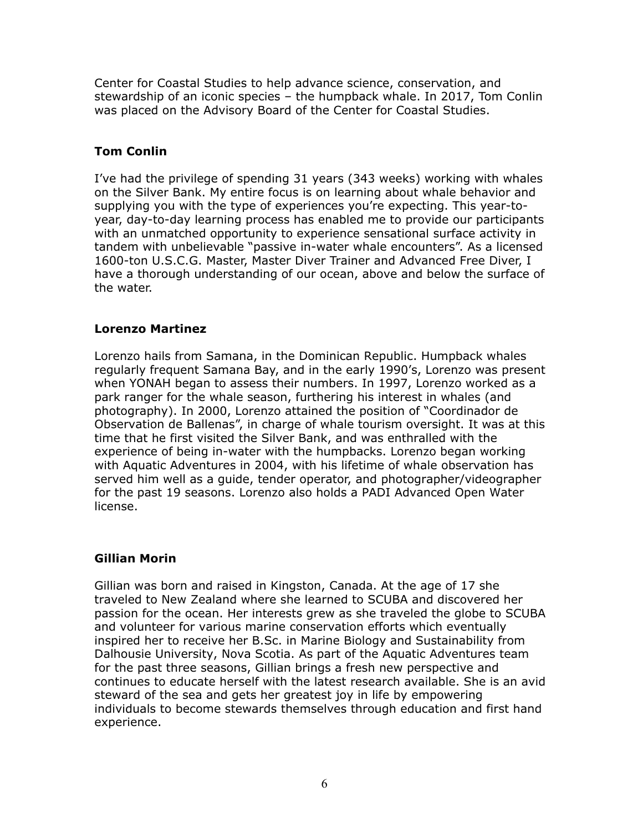Center for Coastal Studies to help advance science, conservation, and stewardship of an iconic species – the humpback whale. In 2017, Tom Conlin was placed on the Advisory Board of the Center for Coastal Studies.

# **Tom Conlin**

I've had the privilege of spending 31 years (343 weeks) working with whales on the Silver Bank. My entire focus is on learning about whale behavior and supplying you with the type of experiences you're expecting. This year-toyear, day-to-day learning process has enabled me to provide our participants with an unmatched opportunity to experience sensational surface activity in tandem with unbelievable "passive in-water whale encounters". As a licensed 1600-ton U.S.C.G. Master, Master Diver Trainer and Advanced Free Diver, I have a thorough understanding of our ocean, above and below the surface of the water.

## **Lorenzo Martinez**

Lorenzo hails from Samana, in the Dominican Republic. Humpback whales regularly frequent Samana Bay, and in the early 1990's, Lorenzo was present when YONAH began to assess their numbers. In 1997, Lorenzo worked as a park ranger for the whale season, furthering his interest in whales (and photography). In 2000, Lorenzo attained the position of "Coordinador de Observation de Ballenas", in charge of whale tourism oversight. It was at this time that he first visited the Silver Bank, and was enthralled with the experience of being in-water with the humpbacks. Lorenzo began working with Aquatic Adventures in 2004, with his lifetime of whale observation has served him well as a guide, tender operator, and photographer/videographer for the past 19 seasons. Lorenzo also holds a PADI Advanced Open Water license.

## **Gillian Morin**

Gillian was born and raised in Kingston, Canada. At the age of 17 she traveled to New Zealand where she learned to SCUBA and discovered her passion for the ocean. Her interests grew as she traveled the globe to SCUBA and volunteer for various marine conservation efforts which eventually inspired her to receive her B.Sc. in Marine Biology and Sustainability from Dalhousie University, Nova Scotia. As part of the Aquatic Adventures team for the past three seasons, Gillian brings a fresh new perspective and continues to educate herself with the latest research available. She is an avid steward of the sea and gets her greatest joy in life by empowering individuals to become stewards themselves through education and first hand experience.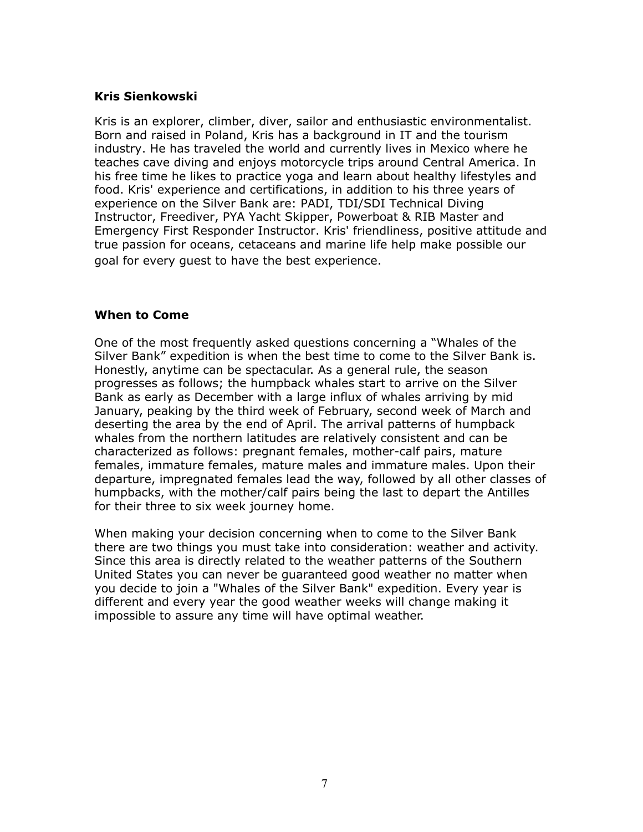#### **Kris Sienkowski**

Kris is an explorer, climber, diver, sailor and enthusiastic environmentalist. Born and raised in Poland, Kris has a background in IT and the tourism industry. He has traveled the world and currently lives in Mexico where he teaches cave diving and enjoys motorcycle trips around Central America. In his free time he likes to practice yoga and learn about healthy lifestyles and food. Kris' experience and certifications, in addition to his three years of experience on the Silver Bank are: PADI, TDI/SDI Technical Diving Instructor, Freediver, PYA Yacht Skipper, Powerboat & RIB Master and Emergency First Responder Instructor. Kris' friendliness, positive attitude and true passion for oceans, cetaceans and marine life help make possible our goal for every guest to have the best experience.

#### **When to Come**

One of the most frequently asked questions concerning a "Whales of the Silver Bank" expedition is when the best time to come to the Silver Bank is. Honestly, anytime can be spectacular. As a general rule, the season progresses as follows; the humpback whales start to arrive on the Silver Bank as early as December with a large influx of whales arriving by mid January, peaking by the third week of February, second week of March and deserting the area by the end of April. The arrival patterns of humpback whales from the northern latitudes are relatively consistent and can be characterized as follows: pregnant females, mother-calf pairs, mature females, immature females, mature males and immature males. Upon their departure, impregnated females lead the way, followed by all other classes of humpbacks, with the mother/calf pairs being the last to depart the Antilles for their three to six week journey home.

When making your decision concerning when to come to the Silver Bank there are two things you must take into consideration: weather and activity. Since this area is directly related to the weather patterns of the Southern United States you can never be guaranteed good weather no matter when you decide to join a "Whales of the Silver Bank" expedition. Every year is different and every year the good weather weeks will change making it impossible to assure any time will have optimal weather.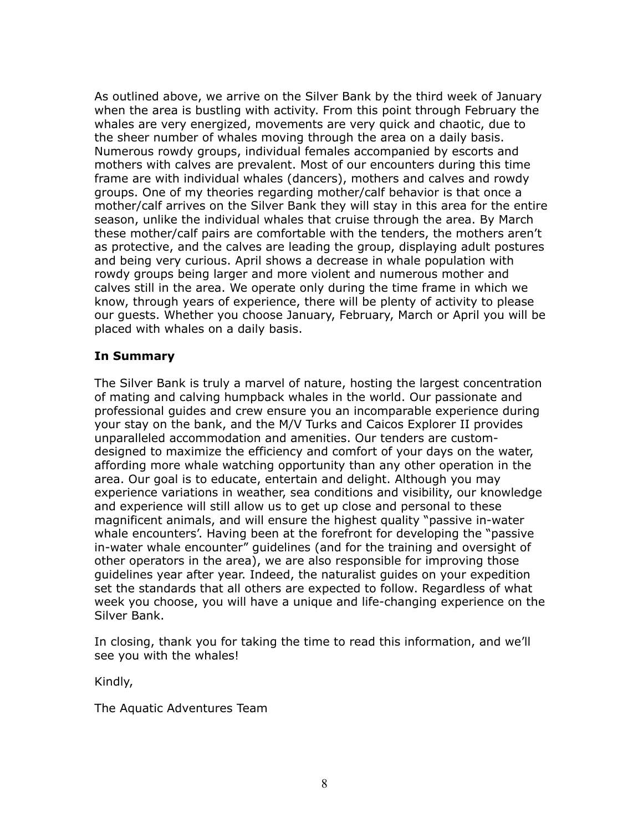As outlined above, we arrive on the Silver Bank by the third week of January when the area is bustling with activity. From this point through February the whales are very energized, movements are very quick and chaotic, due to the sheer number of whales moving through the area on a daily basis. Numerous rowdy groups, individual females accompanied by escorts and mothers with calves are prevalent. Most of our encounters during this time frame are with individual whales (dancers), mothers and calves and rowdy groups. One of my theories regarding mother/calf behavior is that once a mother/calf arrives on the Silver Bank they will stay in this area for the entire season, unlike the individual whales that cruise through the area. By March these mother/calf pairs are comfortable with the tenders, the mothers aren't as protective, and the calves are leading the group, displaying adult postures and being very curious. April shows a decrease in whale population with rowdy groups being larger and more violent and numerous mother and calves still in the area. We operate only during the time frame in which we know, through years of experience, there will be plenty of activity to please our guests. Whether you choose January, February, March or April you will be placed with whales on a daily basis.

## **In Summary**

The Silver Bank is truly a marvel of nature, hosting the largest concentration of mating and calving humpback whales in the world. Our passionate and professional guides and crew ensure you an incomparable experience during your stay on the bank, and the M/V Turks and Caicos Explorer II provides unparalleled accommodation and amenities. Our tenders are customdesigned to maximize the efficiency and comfort of your days on the water, affording more whale watching opportunity than any other operation in the area. Our goal is to educate, entertain and delight. Although you may experience variations in weather, sea conditions and visibility, our knowledge and experience will still allow us to get up close and personal to these magnificent animals, and will ensure the highest quality "passive in-water whale encounters'. Having been at the forefront for developing the "passive in-water whale encounter" guidelines (and for the training and oversight of other operators in the area), we are also responsible for improving those guidelines year after year. Indeed, the naturalist guides on your expedition set the standards that all others are expected to follow. Regardless of what week you choose, you will have a unique and life-changing experience on the Silver Bank.

In closing, thank you for taking the time to read this information, and we'll see you with the whales!

Kindly,

The Aquatic Adventures Team